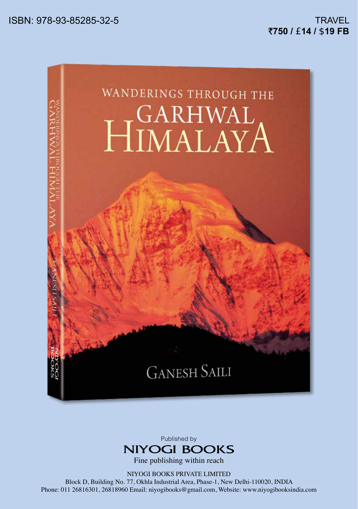



Fine publishing within reach

NIYOGI BOOKS PRIVATE LIMITED

Block D, Building No. 77, Okhla Industrial Area, Phase-1, New Delhi-110020, INDIA Phone: 011 26816301, 26818960 Email: niyogibooks@gmail.com, Website: www.niyogibooksindia.com